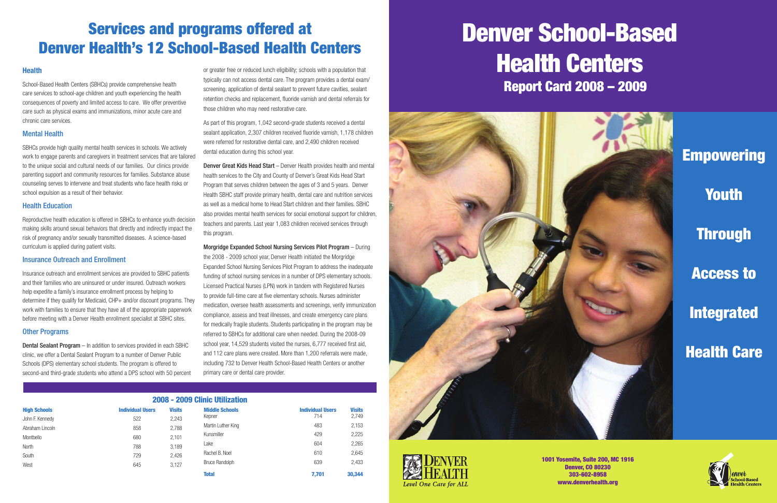## Services and programs offered at Denver Health's 12 School-Based Health Centers

### **Health**

| 2008 - 2009 Clinic Utilization |                         |               |                       |                                |                        |  |
|--------------------------------|-------------------------|---------------|-----------------------|--------------------------------|------------------------|--|
| <b>High Schools</b>            | <b>Individual Users</b> | <b>Visits</b> | <b>Middle Schools</b> | <b>Individual Users</b><br>714 | <b>Visits</b><br>2,749 |  |
| John F. Kennedy                | 522                     | 2,243         | Kepner                |                                |                        |  |
| Abraham Lincoln                | 858                     | 2.788         | Martin Luther King    | 483                            | 2,153                  |  |
| Montbello                      | 680                     | 2,101         | Kunsmiller            | 429                            | 2,225                  |  |
| North                          | 788                     | 3,189         | Lake                  | 604                            | 2,265                  |  |
| South                          | 729                     | 2.426         | Rachel B. Noel        | 610                            | 2,645                  |  |
| West                           | 645                     | 3.127         | <b>Bruce Randolph</b> | 639                            | 2,433                  |  |
|                                |                         |               | <b>Total</b>          | 7.701                          | 30,344                 |  |

Empowering **Youth Through** Access to Integrated Health Care

School-Based Health Centers (SBHCs) provide comprehensive health care services to school-age children and youth experiencing the health consequences of poverty and limited access to care. We offer preventive care such as physical exams and immunizations, minor acute care and chronic care services.

### Mental Health

SBHCs provide high quality mental health services in schools. We actively work to engage parents and caregivers in treatment services that are tailored to the unique social and cultural needs of our families. Our clinics provide parenting support and community resources for families. Substance abuse counseling serves to intervene and treat students who face health risks or school expulsion as a result of their behavior.

#### Health Education

Reproductive health education is offered in SBHCs to enhance youth decision making skills around sexual behaviors that directly and indirectly impact the risk of pregnancy and/or sexually transmitted diseases. A science-based curriculum is applied during patient visits.

#### Insurance Outreach and Enrollment

**Denver Great Kids Head Start** – Denver Health provides health and mental health services to the City and County of Denver's Great Kids Head Start Program that serves children between the ages of 3 and 5 years. Denver Health SBHC staff provide primary health, dental care and nutrition services as well as a medical home to Head Start children and their families. SBHC also provides mental health services for social emotional support for children, teachers and parents. Last year 1,083 children received services through this program.

Insurance outreach and enrollment services are provided to SBHC patients and their families who are uninsured or under insured. Outreach workers help expedite a family's insurance enrollment process by helping to determine if they qualify for Medicaid, CHP+ and/or discount programs. They work with families to ensure that they have all of the appropriate paperwork before meeting with a Denver Health enrollment specialist at SBHC sites.

### Other Programs

Dental Sealant Program – In addition to services provided in each SBHC clinic, we offer a Dental Sealant Program to a number of Denver Public Schools (DPS) elementary school students. The program is offered to second-and third-grade students who attend a DPS school with 50 percent or greater free or reduced lunch eligibility; schools with a population that typically can not access dental care. The program provides a dental exam/ screening, application of dental sealant to prevent future cavities, sealant retention checks and replacement, fluoride varnish and dental referrals for those children who may need restorative care.

As part of this program, 1,042 second-grade students received a dental sealant application, 2,307 children received fluoride varnish, 1,178 children were referred for restorative dental care, and 2,490 children received dental education during this school year.

Morgridge Expanded School Nursing Services Pilot Program – During the 2008 - 2009 school year, Denver Health initiated the Morgridge Expanded School Nursing Services Pilot Program to address the inadequate funding of school nursing services in a number of DPS elementary schools. Licensed Practical Nurses (LPN) work in tandem with Registered Nurses to provide full-time care at five elementary schools. Nurses administer medication, oversee health assessments and screenings, verify immunization compliance, assess and treat illnesses, and create emergency care plans for medically fragile students. Students participating in the program may be referred to SBHCs for additional care when needed. During the 2008-09 school year, 14,529 students visited the nurses, 6,777 received first aid, and 112 care plans were created. More than 1,200 referrals were made, including 732 to Denver Health School-Based Health Centers or another primary care or dental care provider.

# Report Card 2008 – 2009 Denver School-Based Health Centers





1001 Yosemite, Suite 200, MC 1916 Denver, CO 80230 303-602-8958 www.denverhealth.org